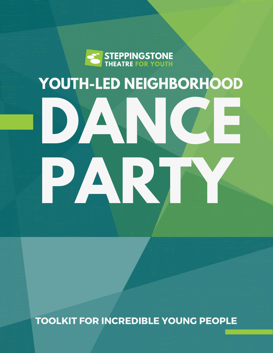

# **YOUTH-LED NEIGHBORHOOD DANCE PARTY**

TOOLKIT FOR INCREDIBLE YOUNG PEOPLE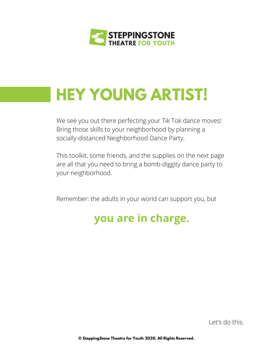

## **HEY YOUNG ARTIST!**

We see you out there perfecting your Tik Tok dance moves! Bring those skills to your neighborhood by planning a socially-distanced Neighborhood Dance Party.

This toolkit, some friends, and the supplies on the next page are all that you need to bring a bomb-diggity dance party to your neighborhood.

Remember: the adults in your world can support you, but

#### **you are in charge.**

Let's do this.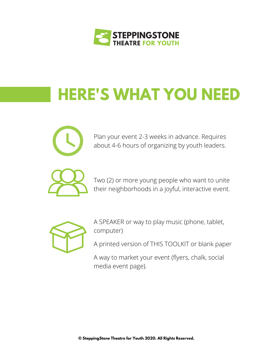

# **HERE'S WHAT YOU NEED**



Plan your event 2-3 weeks in advance. Requires about 4-6 hours of organizing by youth leaders.

Two (2) or more young people who want to unite their neighborhoods in a joyful, interactive event.



A SPEAKER or way to play music (phone, tablet, computer)

A printed version of THIS TOOLKIT or blank paper

A way to market your event (flyers, chalk, social media event page).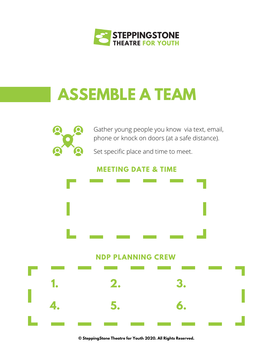

#### **ASSEMBLE A TEAM**



Gather young people you know via text, email, phone or knock on doors (at a safe distance).

Set specific place and time to meet.

#### **MEETING DATE & TIME**



**NDP PLANNING CREW**

|  |  |  | 1. 2. 3.                                                                                                                                                                                                                                                                                                                                                                                                                           |  |
|--|--|--|------------------------------------------------------------------------------------------------------------------------------------------------------------------------------------------------------------------------------------------------------------------------------------------------------------------------------------------------------------------------------------------------------------------------------------|--|
|  |  |  | $\begin{array}{ccc} \mathbf{1} & \mathbf{1} & \mathbf{1} & \mathbf{1} & \mathbf{1} & \mathbf{1} & \mathbf{1} & \mathbf{1} & \mathbf{1} & \mathbf{1} & \mathbf{1} & \mathbf{1} & \mathbf{1} & \mathbf{1} & \mathbf{1} & \mathbf{1} & \mathbf{1} & \mathbf{1} & \mathbf{1} & \mathbf{1} & \mathbf{1} & \mathbf{1} & \mathbf{1} & \mathbf{1} & \mathbf{1} & \mathbf{1} & \mathbf{1} & \mathbf{1} & \mathbf{1} & \mathbf{1} & \mathbf$ |  |
|  |  |  |                                                                                                                                                                                                                                                                                                                                                                                                                                    |  |
|  |  |  | _ _ _ _ _ _ _ _ _ _ _                                                                                                                                                                                                                                                                                                                                                                                                              |  |

**© SteppingStone Theatre for Youth 2020. All Rights Reserved.**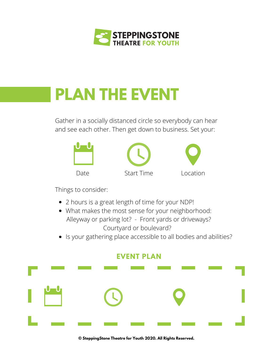

### **PLAN THE EVENT**

Gather in a socially distanced circle so everybody can hear and see each other. Then get down to business. Set your:



Things to consider:

- 2 hours is a great length of time for your NDP!
- What makes the most sense for your neighborhood: Alleyway or parking lot? - Front yards or driveways? Courtyard or boulevard?
- Is your gathering place accessible to all bodies and abilities?



**© SteppingStone Theatre for Youth 2020. All Rights Reserved.**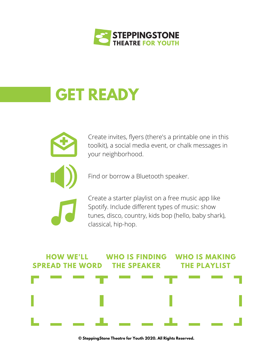

#### **GET READY**



Create invites, flyers (there's a printable one in this toolkit), a social media event, or chalk messages in your neighborhood.

Find or borrow a Bluetooth speaker.

Create a starter playlist on a free music app like Spotify. Include different types of music: show tunes, disco, country, kids bop (hello, baby shark), classical, hip-hop.



**© SteppingStone Theatre for Youth 2020. All Rights Reserved.**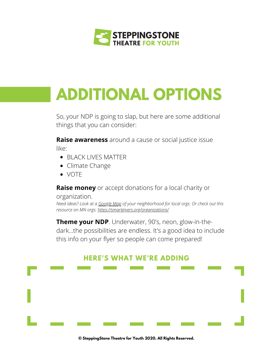

# **ADDITIONAL OPTIONS**

So, your NDP is going to slap, but here are some additional things that you can consider:

**Raise awareness** around a cause or social justice issue like:

- BLACK LIVES MATTER
- Climate Change
- VOTE

**Raise money** or accept donations for a local charity or

#### organization.

*Need ideas? Look at a [Google](https://www.google.com/maps) Map of your neighborhood for local orgs. Or check out this resource on MN orgs: <https://smartgivers.org/organizations/>*

**Theme your NDP**. Underwater, 90's, neon, glow-in-thedark...the possibilities are endless. It's a good idea to include this info on your flyer so people can come prepared!

**HERE'S WHAT WE'RE ADDING**

**© SteppingStone Theatre for Youth 2020. All Rights Reserved.**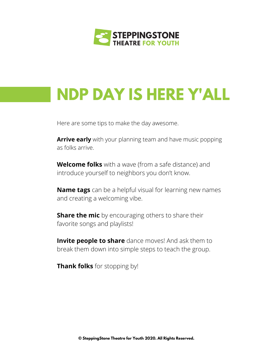

### **NDP DAY IS HERE Y'ALL**

Here are some tips to make the day awesome.

**Arrive early** with your planning team and have music popping as folks arrive.

**Welcome folks** with a wave (from a safe distance) and introduce yourself to neighbors you don't know.

**Name tags** can be a helpful visual for learning new names and creating a welcoming vibe.

**Share the mic** by encouraging others to share their favorite songs and playlists!

**Invite people to share** dance moves! And ask them to break them down into simple steps to teach the group.

**Thank folks** for stopping by!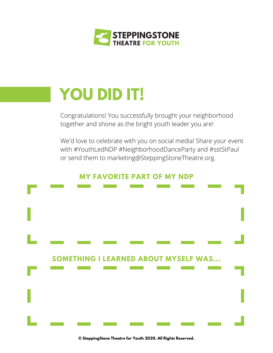

## **YOU DID IT!**

Congratulations! You successfully brought your neighborhood together and shone as the bright youth leader you are!

We'd love to celebrate with you on social media! Share your event with #YouthLedNDP #NeighborhoodDanceParty and #sstStPaul or send them to marketing@SteppingStoneTheatre.org.

#### **MY FAVORITE PART OF MY NDP**



**© SteppingStone Theatre for Youth 2020. All Rights Reserved.**